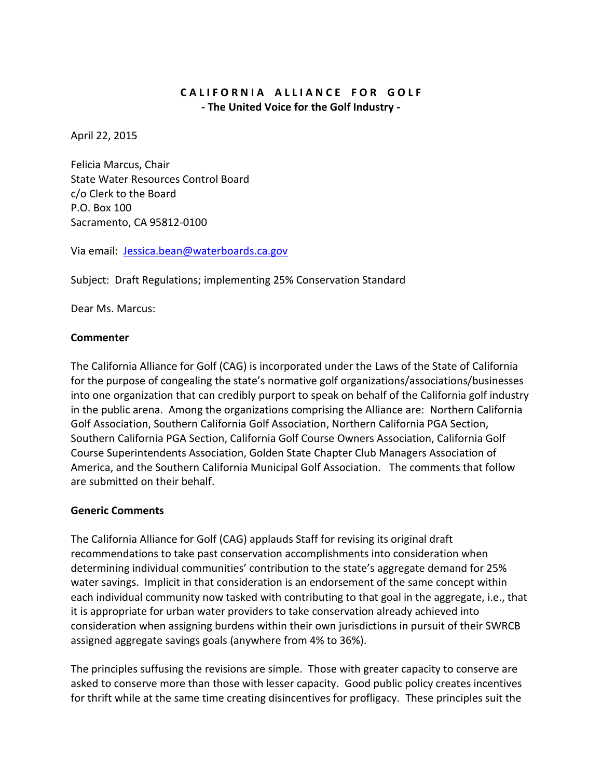## CALIFORNIA ALLIANCE FOR GOLF **- The United Voice for the Golf Industry -**

April 22, 2015

Felicia Marcus, Chair State Water Resources Control Board c/o Clerk to the Board P.O. Box 100 Sacramento, CA 95812-0100

Via email: [Jessica.bean@waterboards.ca.gov](mailto:Jessica.bean@waterboards.ca.gov)

Subject: Draft Regulations; implementing 25% Conservation Standard

Dear Ms. Marcus:

## **Commenter**

The California Alliance for Golf (CAG) is incorporated under the Laws of the State of California for the purpose of congealing the state's normative golf organizations/associations/businesses into one organization that can credibly purport to speak on behalf of the California golf industry in the public arena. Among the organizations comprising the Alliance are: Northern California Golf Association, Southern California Golf Association, Northern California PGA Section, Southern California PGA Section, California Golf Course Owners Association, California Golf Course Superintendents Association, Golden State Chapter Club Managers Association of America, and the Southern California Municipal Golf Association. The comments that follow are submitted on their behalf.

## **Generic Comments**

The California Alliance for Golf (CAG) applauds Staff for revising its original draft recommendations to take past conservation accomplishments into consideration when determining individual communities' contribution to the state's aggregate demand for 25% water savings. Implicit in that consideration is an endorsement of the same concept within each individual community now tasked with contributing to that goal in the aggregate, i.e., that it is appropriate for urban water providers to take conservation already achieved into consideration when assigning burdens within their own jurisdictions in pursuit of their SWRCB assigned aggregate savings goals (anywhere from 4% to 36%).

The principles suffusing the revisions are simple. Those with greater capacity to conserve are asked to conserve more than those with lesser capacity. Good public policy creates incentives for thrift while at the same time creating disincentives for profligacy. These principles suit the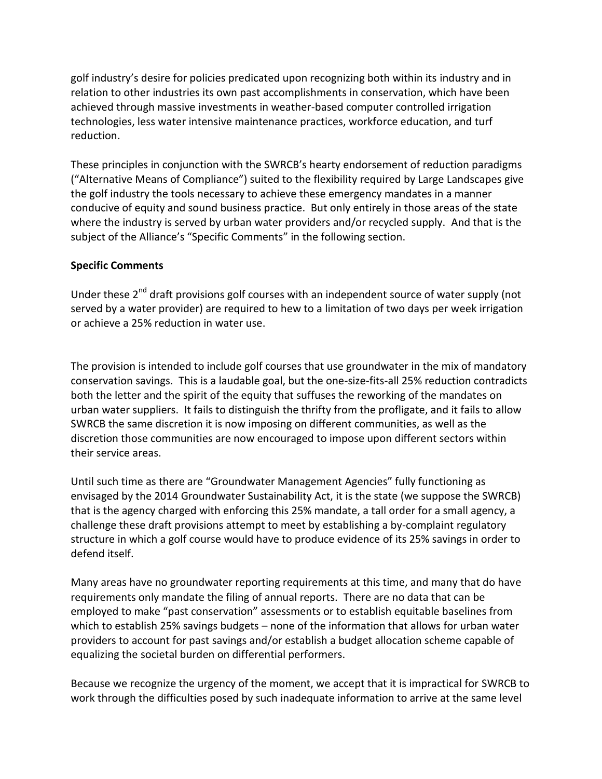golf industry's desire for policies predicated upon recognizing both within its industry and in relation to other industries its own past accomplishments in conservation, which have been achieved through massive investments in weather-based computer controlled irrigation technologies, less water intensive maintenance practices, workforce education, and turf reduction.

These principles in conjunction with the SWRCB's hearty endorsement of reduction paradigms ("Alternative Means of Compliance") suited to the flexibility required by Large Landscapes give the golf industry the tools necessary to achieve these emergency mandates in a manner conducive of equity and sound business practice. But only entirely in those areas of the state where the industry is served by urban water providers and/or recycled supply. And that is the subject of the Alliance's "Specific Comments" in the following section.

## **Specific Comments**

Under these 2<sup>nd</sup> draft provisions golf courses with an independent source of water supply (not served by a water provider) are required to hew to a limitation of two days per week irrigation or achieve a 25% reduction in water use.

The provision is intended to include golf courses that use groundwater in the mix of mandatory conservation savings. This is a laudable goal, but the one-size-fits-all 25% reduction contradicts both the letter and the spirit of the equity that suffuses the reworking of the mandates on urban water suppliers. It fails to distinguish the thrifty from the profligate, and it fails to allow SWRCB the same discretion it is now imposing on different communities, as well as the discretion those communities are now encouraged to impose upon different sectors within their service areas.

Until such time as there are "Groundwater Management Agencies" fully functioning as envisaged by the 2014 Groundwater Sustainability Act, it is the state (we suppose the SWRCB) that is the agency charged with enforcing this 25% mandate, a tall order for a small agency, a challenge these draft provisions attempt to meet by establishing a by-complaint regulatory structure in which a golf course would have to produce evidence of its 25% savings in order to defend itself.

Many areas have no groundwater reporting requirements at this time, and many that do have requirements only mandate the filing of annual reports. There are no data that can be employed to make "past conservation" assessments or to establish equitable baselines from which to establish 25% savings budgets – none of the information that allows for urban water providers to account for past savings and/or establish a budget allocation scheme capable of equalizing the societal burden on differential performers.

Because we recognize the urgency of the moment, we accept that it is impractical for SWRCB to work through the difficulties posed by such inadequate information to arrive at the same level